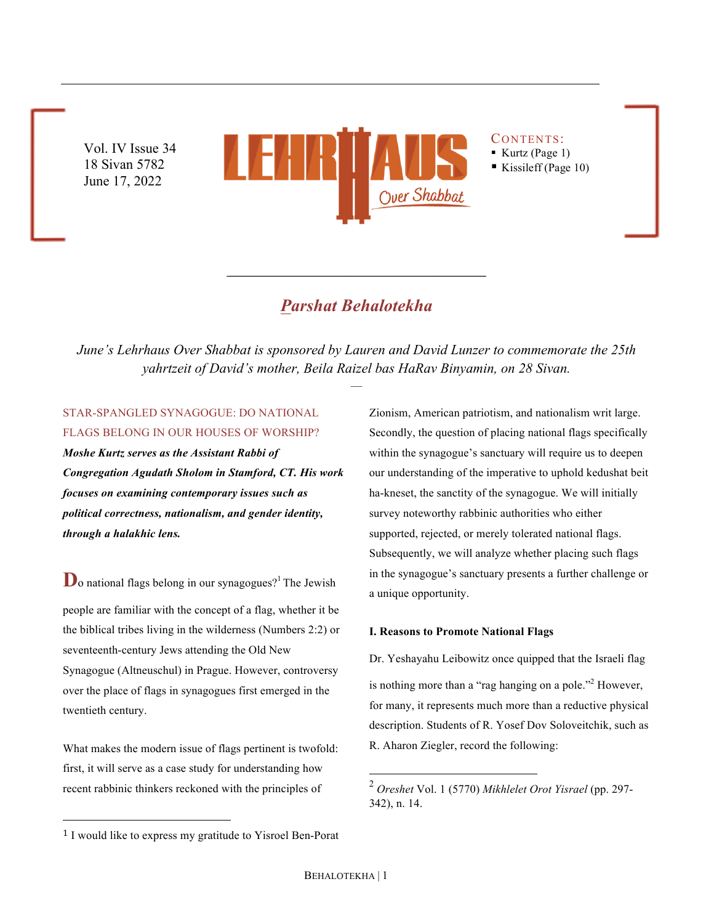Vol. IV Issue 34 18 Sivan 5782 June 17, 2022



CONTENTS: § Kurtz (Page 1)

■ Kissileff (Page 10)

# *Parshat Behalotekha*

 $\mathcal{L}^{\mathcal{L}}$ 

*June's Lehrhaus Over Shabbat is sponsored by Lauren and David Lunzer to commemorate the 25th yahrtzeit of David's mother, Beila Raizel bas HaRav Binyamin, on 28 Sivan.*

—

# STAR-SPANGLED SYNAGOGUE: DO NATIONAL FLAGS BELONG IN OUR HOUSES OF WORSHIP?

*Moshe Kurtz serves as the Assistant Rabbi of Congregation Agudath Sholom in Stamford, CT. His work focuses on examining contemporary issues such as political correctness, nationalism, and gender identity, through a halakhic lens.*

 $\mathbf{D}_0$  national flags belong in our synagogues?<sup>1</sup> The Jewish people are familiar with the concept of a flag, whether it be the biblical tribes living in the wilderness (Numbers 2:2) or seventeenth-century Jews attending the Old New Synagogue (Altneuschul) in Prague. However, controversy over the place of flags in synagogues first emerged in the twentieth century.

What makes the modern issue of flags pertinent is twofold: first, it will serve as a case study for understanding how recent rabbinic thinkers reckoned with the principles of

Zionism, American patriotism, and nationalism writ large. Secondly, the question of placing national flags specifically within the synagogue's sanctuary will require us to deepen our understanding of the imperative to uphold kedushat beit ha-kneset, the sanctity of the synagogue. We will initially survey noteworthy rabbinic authorities who either supported, rejected, or merely tolerated national flags. Subsequently, we will analyze whether placing such flags in the synagogue's sanctuary presents a further challenge or a unique opportunity.

## **I. Reasons to Promote National Flags**

Dr. Yeshayahu Leibowitz once quipped that the Israeli flag is nothing more than a "rag hanging on a pole."<sup>2</sup> However, for many, it represents much more than a reductive physical description. Students of R. Yosef Dov Soloveitchik, such as R. Aharon Ziegler, record the following:

 

 <sup>2</sup> *Oreshet* Vol. 1 (5770) *Mikhlelet Orot Yisrael* (pp. 297- 342), n. 14.

<sup>1</sup> I would like to express my gratitude to Yisroel Ben-Porat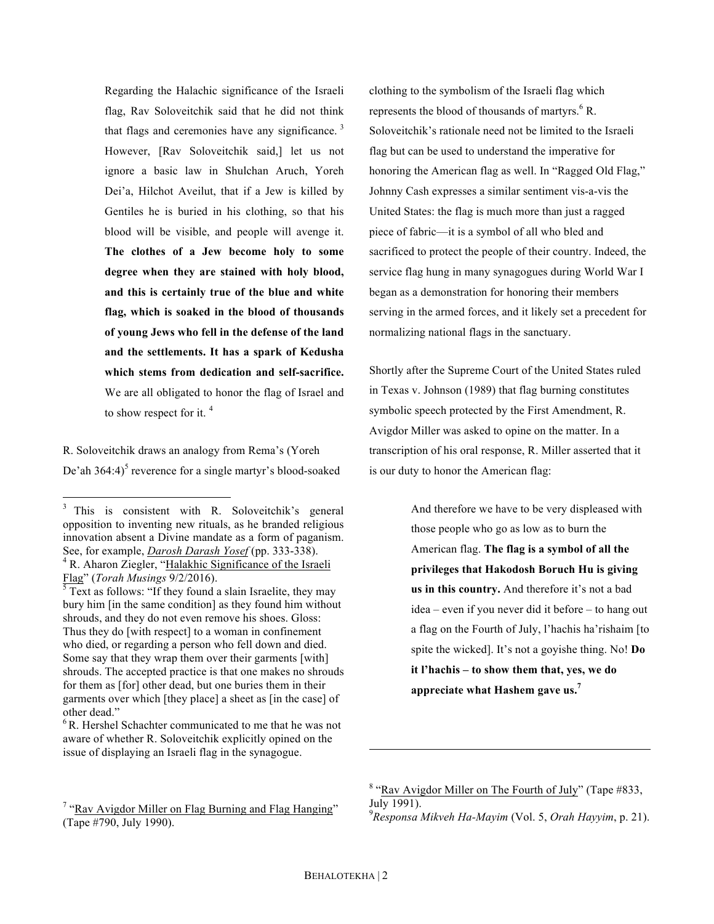Regarding the Halachic significance of the Israeli flag, Rav Soloveitchik said that he did not think that flags and ceremonies have any significance.  $3$ However, [Rav Soloveitchik said,] let us not ignore a basic law in Shulchan Aruch, Yoreh Dei'a, Hilchot Aveilut, that if a Jew is killed by Gentiles he is buried in his clothing, so that his blood will be visible, and people will avenge it. **The clothes of a Jew become holy to some degree when they are stained with holy blood, and this is certainly true of the blue and white flag, which is soaked in the blood of thousands of young Jews who fell in the defense of the land and the settlements. It has a spark of Kedusha which stems from dedication and self-sacrifice.** We are all obligated to honor the flag of Israel and to show respect for it. <sup>4</sup>

R. Soloveitchik draws an analogy from Rema's (Yoreh De'ah 364:4)<sup>5</sup> reverence for a single martyr's blood-soaked clothing to the symbolism of the Israeli flag which represents the blood of thousands of martyrs. <sup>6</sup> R. Soloveitchik's rationale need not be limited to the Israeli flag but can be used to understand the imperative for honoring the American flag as well. In "Ragged Old Flag," Johnny Cash expresses a similar sentiment vis-a-vis the United States: the flag is much more than just a ragged piece of fabric—it is a symbol of all who bled and sacrificed to protect the people of their country. Indeed, the service flag hung in many synagogues during World War I began as a demonstration for honoring their members serving in the armed forces, and it likely set a precedent for normalizing national flags in the sanctuary.

Shortly after the Supreme Court of the United States ruled in Texas v. Johnson (1989) that flag burning constitutes symbolic speech protected by the First Amendment, R. Avigdor Miller was asked to opine on the matter. In a transcription of his oral response, R. Miller asserted that it is our duty to honor the American flag:

> And therefore we have to be very displeased with those people who go as low as to burn the American flag. **The flag is a symbol of all the privileges that Hakodosh Boruch Hu is giving us in this country.** And therefore it's not a bad idea – even if you never did it before – to hang out a flag on the Fourth of July, l'hachis ha'rishaim [to spite the wicked]. It's not a goyishe thing. No! **Do it l'hachis – to show them that, yes, we do appreciate what Hashem gave us.<sup>7</sup>**

 

<sup>&</sup>lt;sup>3</sup> This is consistent with R. Soloveitchik's general opposition to inventing new rituals, as he branded religious innovation absent a Divine mandate as a form of paganism. See, for example, *Darosh Darash Yosef* (pp. 333-338).<br><sup>4</sup> R. Aharon Ziegler, "Halakhic Significance of the Israeli Flag" (*Torah Musings 9/2/2016*).

 $\sqrt[5]{7}$  Text as follows: "If they found a slain Israelite, they may bury him [in the same condition] as they found him without shrouds, and they do not even remove his shoes. Gloss: Thus they do [with respect] to a woman in confinement who died, or regarding a person who fell down and died. Some say that they wrap them over their garments [with] shrouds. The accepted practice is that one makes no shrouds for them as [for] other dead, but one buries them in their garments over which [they place] a sheet as [in the case] of other dead."

<sup>&</sup>lt;sup>6</sup> R. Hershel Schachter communicated to me that he was not aware of whether R. Soloveitchik explicitly opined on the issue of displaying an Israeli flag in the synagogue.

 $7 \text{``Ray Avigdor Miller on Flag Burning and Flag Hanging''}$ (Tape #790, July 1990).

<sup>8</sup> "Rav Avigdor Miller on The Fourth of July" (Tape #833, July 1991). 9 *Responsa Mikveh Ha-Mayim* (Vol. 5, *Orah Hayyim*, p. 21).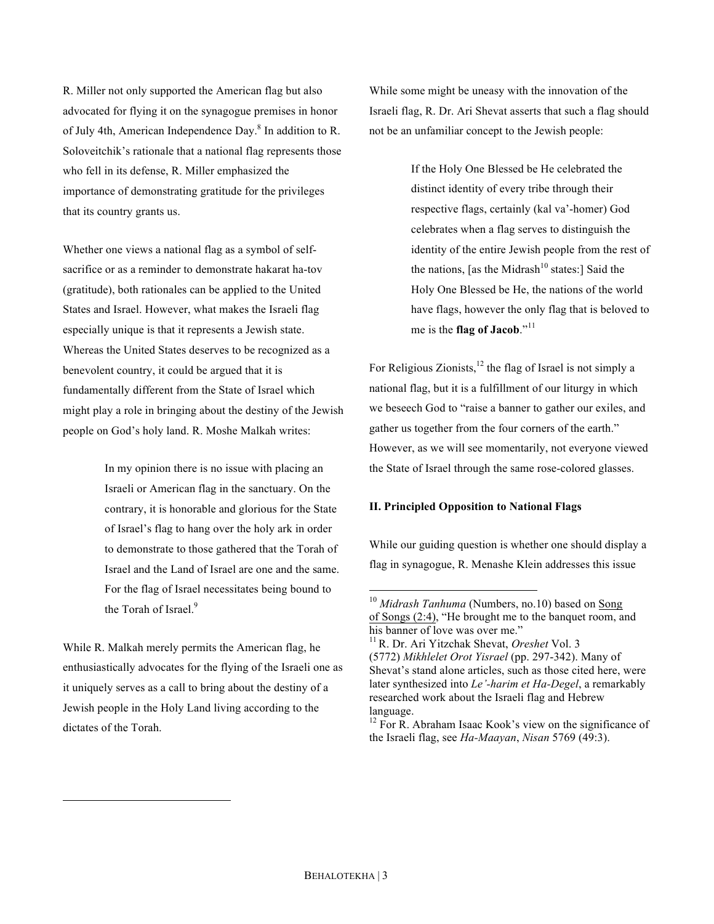R. Miller not only supported the American flag but also advocated for flying it on the synagogue premises in honor of July 4th, American Independence Day.<sup>8</sup> In addition to R. Soloveitchik's rationale that a national flag represents those who fell in its defense, R. Miller emphasized the importance of demonstrating gratitude for the privileges that its country grants us.

Whether one views a national flag as a symbol of selfsacrifice or as a reminder to demonstrate hakarat ha-tov (gratitude), both rationales can be applied to the United States and Israel. However, what makes the Israeli flag especially unique is that it represents a Jewish state. Whereas the United States deserves to be recognized as a benevolent country, it could be argued that it is fundamentally different from the State of Israel which might play a role in bringing about the destiny of the Jewish people on God's holy land. R. Moshe Malkah writes:

> In my opinion there is no issue with placing an Israeli or American flag in the sanctuary. On the contrary, it is honorable and glorious for the State of Israel's flag to hang over the holy ark in order to demonstrate to those gathered that the Torah of Israel and the Land of Israel are one and the same. For the flag of Israel necessitates being bound to the Torah of Israel.<sup>9</sup>

While R. Malkah merely permits the American flag, he enthusiastically advocates for the flying of the Israeli one as it uniquely serves as a call to bring about the destiny of a Jewish people in the Holy Land living according to the dictates of the Torah.

 

While some might be uneasy with the innovation of the Israeli flag, R. Dr. Ari Shevat asserts that such a flag should not be an unfamiliar concept to the Jewish people:

> If the Holy One Blessed be He celebrated the distinct identity of every tribe through their respective flags, certainly (kal va'-homer) God celebrates when a flag serves to distinguish the identity of the entire Jewish people from the rest of the nations, [as the Midrash<sup>10</sup> states:] Said the Holy One Blessed be He, the nations of the world have flags, however the only flag that is beloved to me is the **flag of Jacob**."<sup>11</sup>

For Religious Zionists, $12$  the flag of Israel is not simply a national flag, but it is a fulfillment of our liturgy in which we beseech God to "raise a banner to gather our exiles, and gather us together from the four corners of the earth." However, as we will see momentarily, not everyone viewed the State of Israel through the same rose-colored glasses.

# **II. Principled Opposition to National Flags**

While our guiding question is whether one should display a flag in synagogue, R. Menashe Klein addresses this issue

<sup>&</sup>lt;sup>10</sup> *Midrash Tanhuma* (Numbers, no.10) based on Song of Songs (2:4), "He brought me to the banquet room, and his banner of love was over me."

<sup>11</sup> R. Dr. Ari Yitzchak Shevat, *Oreshet* Vol. 3 (5772) *Mikhlelet Orot Yisrael* (pp. 297-342). Many of Shevat's stand alone articles, such as those cited here, were later synthesized into *Le'-harim et Ha-Degel*, a remarkably researched work about the Israeli flag and Hebrew language.

<sup>&</sup>lt;sup>12</sup> For R. Abraham Isaac Kook's view on the significance of the Israeli flag, see *Ha-Maayan*, *Nisan* 5769 (49:3).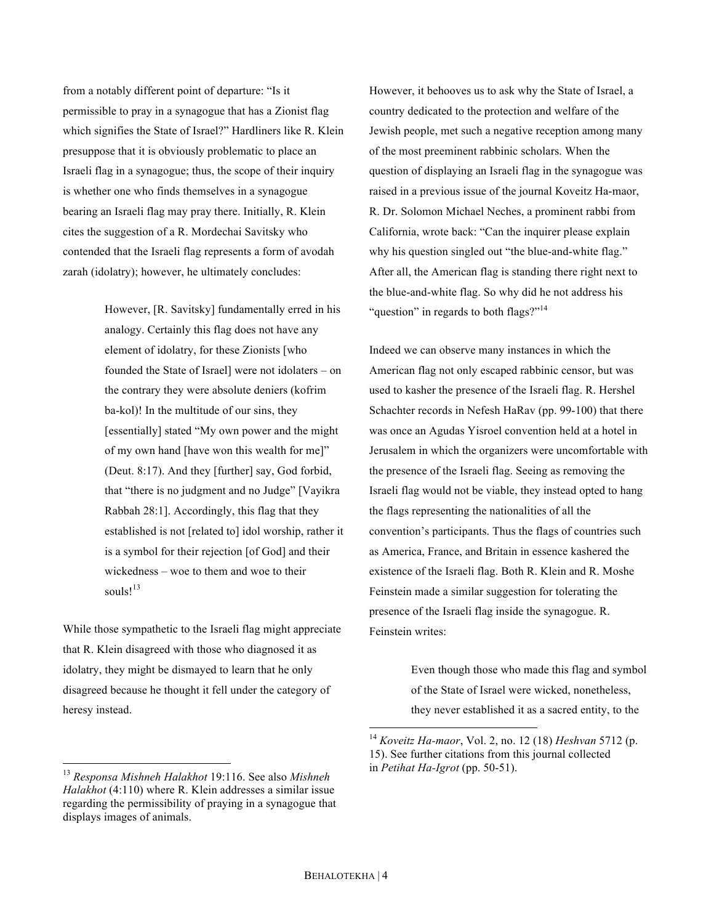from a notably different point of departure: "Is it permissible to pray in a synagogue that has a Zionist flag which signifies the State of Israel?" Hardliners like R. Klein presuppose that it is obviously problematic to place an Israeli flag in a synagogue; thus, the scope of their inquiry is whether one who finds themselves in a synagogue bearing an Israeli flag may pray there. Initially, R. Klein cites the suggestion of a R. Mordechai Savitsky who contended that the Israeli flag represents a form of avodah zarah (idolatry); however, he ultimately concludes:

> However, [R. Savitsky] fundamentally erred in his analogy. Certainly this flag does not have any element of idolatry, for these Zionists [who founded the State of Israel] were not idolaters – on the contrary they were absolute deniers (kofrim ba-kol)! In the multitude of our sins, they [essentially] stated "My own power and the might of my own hand [have won this wealth for me]" (Deut. 8:17). And they [further] say, God forbid, that "there is no judgment and no Judge" [Vayikra Rabbah 28:1]. Accordingly, this flag that they established is not [related to] idol worship, rather it is a symbol for their rejection [of God] and their wickedness – woe to them and woe to their souls! $13$

While those sympathetic to the Israeli flag might appreciate that R. Klein disagreed with those who diagnosed it as idolatry, they might be dismayed to learn that he only disagreed because he thought it fell under the category of heresy instead.

However, it behooves us to ask why the State of Israel, a country dedicated to the protection and welfare of the Jewish people, met such a negative reception among many of the most preeminent rabbinic scholars. When the question of displaying an Israeli flag in the synagogue was raised in a previous issue of the journal Koveitz Ha-maor, R. Dr. Solomon Michael Neches, a prominent rabbi from California, wrote back: "Can the inquirer please explain why his question singled out "the blue-and-white flag." After all, the American flag is standing there right next to the blue-and-white flag. So why did he not address his "question" in regards to both flags?"<sup>14</sup>

Indeed we can observe many instances in which the American flag not only escaped rabbinic censor, but was used to kasher the presence of the Israeli flag. R. Hershel Schachter records in Nefesh HaRav (pp. 99-100) that there was once an Agudas Yisroel convention held at a hotel in Jerusalem in which the organizers were uncomfortable with the presence of the Israeli flag. Seeing as removing the Israeli flag would not be viable, they instead opted to hang the flags representing the nationalities of all the convention's participants. Thus the flags of countries such as America, France, and Britain in essence kashered the existence of the Israeli flag. Both R. Klein and R. Moshe Feinstein made a similar suggestion for tolerating the presence of the Israeli flag inside the synagogue. R. Feinstein writes:

> Even though those who made this flag and symbol of the State of Israel were wicked, nonetheless, they never established it as a sacred entity, to the

 <sup>13</sup> *Responsa Mishneh Halakhot* 19:116. See also *Mishneh Halakhot* (4:110) where R. Klein addresses a similar issue regarding the permissibility of praying in a synagogue that displays images of animals.

 <sup>14</sup> *Koveitz Ha-maor*, Vol. 2, no. 12 (18) *Heshvan* 5712 (p. 15). See further citations from this journal collected in *Petihat Ha-Igrot* (pp. 50-51).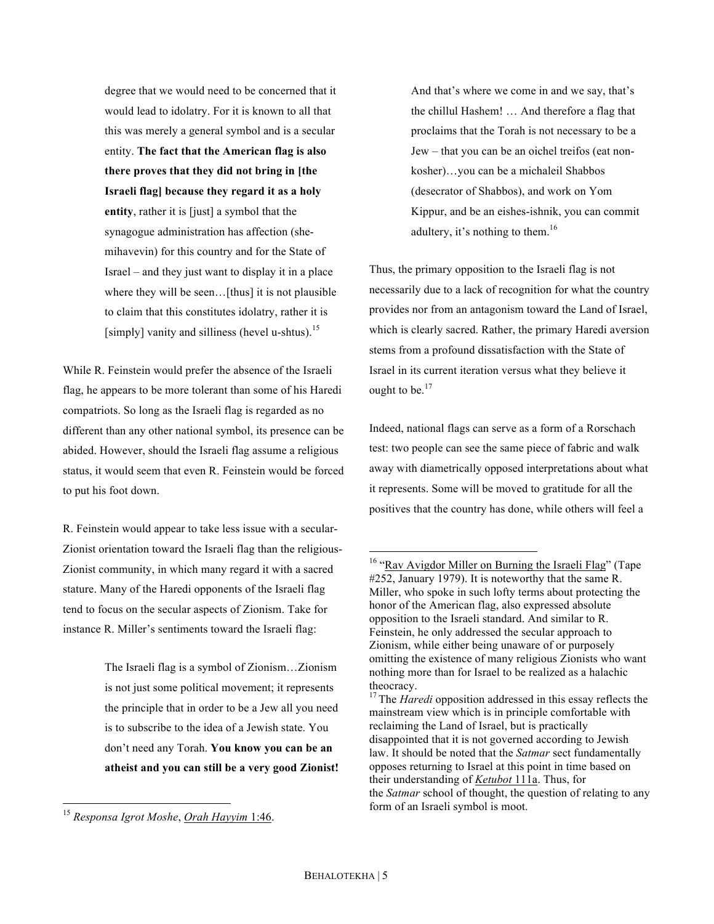degree that we would need to be concerned that it would lead to idolatry. For it is known to all that this was merely a general symbol and is a secular entity. **The fact that the American flag is also there proves that they did not bring in [the Israeli flag] because they regard it as a holy entity**, rather it is [just] a symbol that the synagogue administration has affection (shemihavevin) for this country and for the State of Israel – and they just want to display it in a place where they will be seen... [thus] it is not plausible to claim that this constitutes idolatry, rather it is [simply] vanity and silliness (hevel u-shtus).<sup>15</sup>

While R. Feinstein would prefer the absence of the Israeli flag, he appears to be more tolerant than some of his Haredi compatriots. So long as the Israeli flag is regarded as no different than any other national symbol, its presence can be abided. However, should the Israeli flag assume a religious status, it would seem that even R. Feinstein would be forced to put his foot down.

R. Feinstein would appear to take less issue with a secular-Zionist orientation toward the Israeli flag than the religious-Zionist community, in which many regard it with a sacred stature. Many of the Haredi opponents of the Israeli flag tend to focus on the secular aspects of Zionism. Take for instance R. Miller's sentiments toward the Israeli flag:

> The Israeli flag is a symbol of Zionism…Zionism is not just some political movement; it represents the principle that in order to be a Jew all you need is to subscribe to the idea of a Jewish state. You don't need any Torah. **You know you can be an atheist and you can still be a very good Zionist!**

And that's where we come in and we say, that's the chillul Hashem! … And therefore a flag that proclaims that the Torah is not necessary to be a Jew – that you can be an oichel treifos (eat nonkosher)…you can be a michaleil Shabbos (desecrator of Shabbos), and work on Yom Kippur, and be an eishes-ishnik, you can commit adultery, it's nothing to them.<sup>16</sup>

Thus, the primary opposition to the Israeli flag is not necessarily due to a lack of recognition for what the country provides nor from an antagonism toward the Land of Israel, which is clearly sacred. Rather, the primary Haredi aversion stems from a profound dissatisfaction with the State of Israel in its current iteration versus what they believe it ought to be.<sup>17</sup>

Indeed, national flags can serve as a form of a Rorschach test: two people can see the same piece of fabric and walk away with diametrically opposed interpretations about what it represents. Some will be moved to gratitude for all the positives that the country has done, while others will feel a

 <sup>15</sup> *Responsa Igrot Moshe*, *Orah Hayyim* 1:46.

<sup>&</sup>lt;sup>16</sup> "Rav Avigdor Miller on Burning the Israeli Flag" (Tape #252, January 1979). It is noteworthy that the same R. Miller, who spoke in such lofty terms about protecting the honor of the American flag, also expressed absolute opposition to the Israeli standard. And similar to R. Feinstein, he only addressed the secular approach to Zionism, while either being unaware of or purposely omitting the existence of many religious Zionists who want nothing more than for Israel to be realized as a halachic theocracy.

<sup>&</sup>lt;sup>17</sup> The *Haredi* opposition addressed in this essay reflects the mainstream view which is in principle comfortable with reclaiming the Land of Israel, but is practically disappointed that it is not governed according to Jewish law. It should be noted that the *Satmar* sect fundamentally opposes returning to Israel at this point in time based on their understanding of *Ketubot* 111a. Thus, for the *Satmar* school of thought, the question of relating to any form of an Israeli symbol is moot.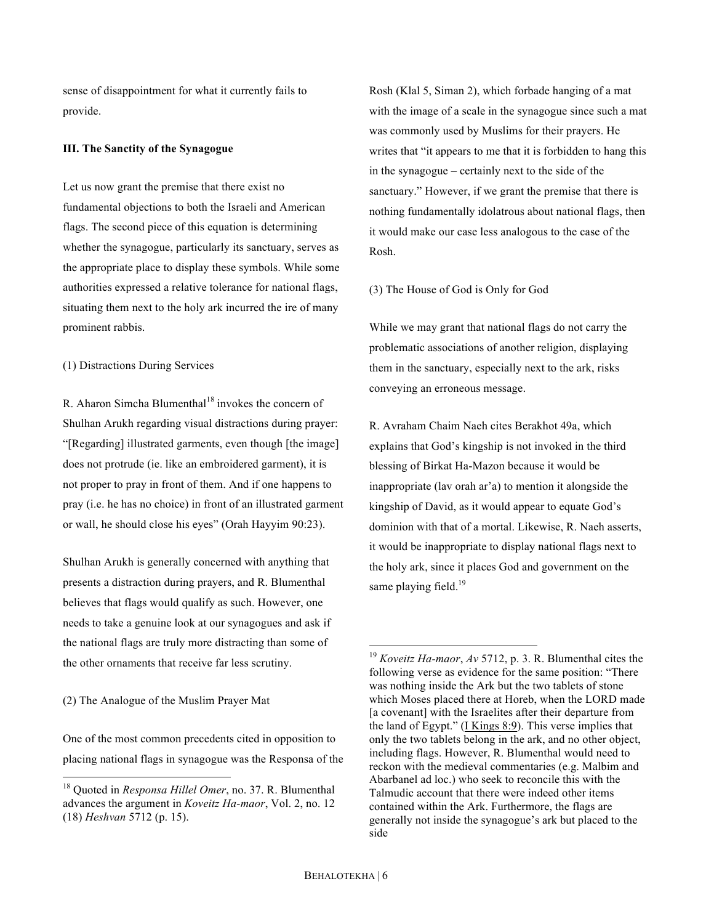sense of disappointment for what it currently fails to provide.

### **III. The Sanctity of the Synagogue**

Let us now grant the premise that there exist no fundamental objections to both the Israeli and American flags. The second piece of this equation is determining whether the synagogue, particularly its sanctuary, serves as the appropriate place to display these symbols. While some authorities expressed a relative tolerance for national flags, situating them next to the holy ark incurred the ire of many prominent rabbis.

(1) Distractions During Services

R. Aharon Simcha Blumenthal<sup>18</sup> invokes the concern of Shulhan Arukh regarding visual distractions during prayer: "[Regarding] illustrated garments, even though [the image] does not protrude (ie. like an embroidered garment), it is not proper to pray in front of them. And if one happens to pray (i.e. he has no choice) in front of an illustrated garment or wall, he should close his eyes" (Orah Hayyim 90:23).

Shulhan Arukh is generally concerned with anything that presents a distraction during prayers, and R. Blumenthal believes that flags would qualify as such. However, one needs to take a genuine look at our synagogues and ask if the national flags are truly more distracting than some of the other ornaments that receive far less scrutiny.

(2) The Analogue of the Muslim Prayer Mat

One of the most common precedents cited in opposition to placing national flags in synagogue was the Responsa of the Rosh (Klal 5, Siman 2), which forbade hanging of a mat with the image of a scale in the synagogue since such a mat was commonly used by Muslims for their prayers. He writes that "it appears to me that it is forbidden to hang this in the synagogue – certainly next to the side of the sanctuary." However, if we grant the premise that there is nothing fundamentally idolatrous about national flags, then it would make our case less analogous to the case of the Rosh.

(3) The House of God is Only for God

While we may grant that national flags do not carry the problematic associations of another religion, displaying them in the sanctuary, especially next to the ark, risks conveying an erroneous message.

R. Avraham Chaim Naeh cites Berakhot 49a, which explains that God's kingship is not invoked in the third blessing of Birkat Ha-Mazon because it would be inappropriate (lav orah ar'a) to mention it alongside the kingship of David, as it would appear to equate God's dominion with that of a mortal. Likewise, R. Naeh asserts, it would be inappropriate to display national flags next to the holy ark, since it places God and government on the same playing field. $19$ 

 <sup>18</sup> Quoted in *Responsa Hillel Omer*, no. 37. R. Blumenthal advances the argument in *Koveitz Ha-maor*, Vol. 2, no. 12 (18) *Heshvan* 5712 (p. 15).

 <sup>19</sup> *Koveitz Ha-maor*, *Av* 5712, p. 3. R. Blumenthal cites the following verse as evidence for the same position: "There was nothing inside the Ark but the two tablets of stone which Moses placed there at Horeb, when the LORD made [a covenant] with the Israelites after their departure from the land of Egypt." (I Kings 8:9). This verse implies that only the two tablets belong in the ark, and no other object, including flags. However, R. Blumenthal would need to reckon with the medieval commentaries (e.g. Malbim and Abarbanel ad loc.) who seek to reconcile this with the Talmudic account that there were indeed other items contained within the Ark. Furthermore, the flags are generally not inside the synagogue's ark but placed to the side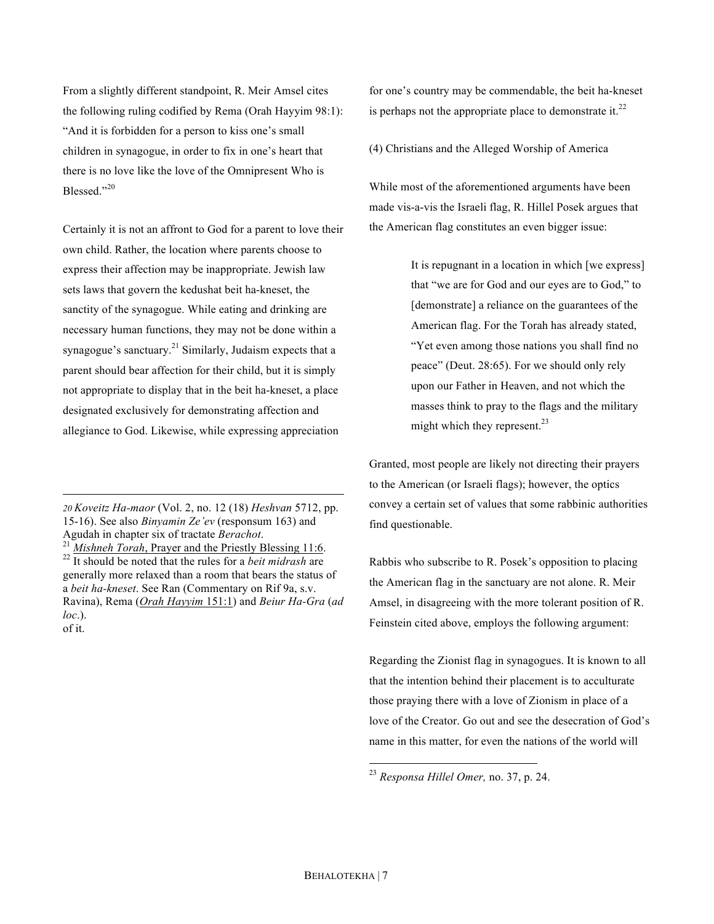From a slightly different standpoint, R. Meir Amsel cites the following ruling codified by Rema (Orah Hayyim 98:1): "And it is forbidden for a person to kiss one's small children in synagogue, in order to fix in one's heart that there is no love like the love of the Omnipresent Who is Blessed."20

Certainly it is not an affront to God for a parent to love their own child. Rather, the location where parents choose to express their affection may be inappropriate. Jewish law sets laws that govern the kedushat beit ha-kneset, the sanctity of the synagogue. While eating and drinking are necessary human functions, they may not be done within a synagogue's sanctuary.<sup>21</sup> Similarly, Judaism expects that a parent should bear affection for their child, but it is simply not appropriate to display that in the beit ha-kneset, a place designated exclusively for demonstrating affection and allegiance to God. Likewise, while expressing appreciation

 

<sup>21</sup> *Mishneh Torah*, Prayer and the Priestly Blessing 11:6. <sup>22</sup> It should be noted that the rules for a *beit midrash* are generally more relaxed than a room that bears the status of a *beit ha-kneset*. See Ran (Commentary on Rif 9a, s.v. Ravina), Rema (*Orah Hayyim* 151:1) and *Beiur Ha-Gra* (*ad loc*.). of it.

for one's country may be commendable, the beit ha-kneset is perhaps not the appropriate place to demonstrate it.<sup>22</sup>

(4) Christians and the Alleged Worship of America

While most of the aforementioned arguments have been made vis-a-vis the Israeli flag, R. Hillel Posek argues that the American flag constitutes an even bigger issue:

> It is repugnant in a location in which [we express] that "we are for God and our eyes are to God," to [demonstrate] a reliance on the guarantees of the American flag. For the Torah has already stated, "Yet even among those nations you shall find no peace" (Deut. 28:65). For we should only rely upon our Father in Heaven, and not which the masses think to pray to the flags and the military might which they represent. $^{23}$

Granted, most people are likely not directing their prayers to the American (or Israeli flags); however, the optics convey a certain set of values that some rabbinic authorities find questionable.

Rabbis who subscribe to R. Posek's opposition to placing the American flag in the sanctuary are not alone. R. Meir Amsel, in disagreeing with the more tolerant position of R. Feinstein cited above, employs the following argument:

Regarding the Zionist flag in synagogues. It is known to all that the intention behind their placement is to acculturate those praying there with a love of Zionism in place of a love of the Creator. Go out and see the desecration of God's name in this matter, for even the nations of the world will

*<sup>20</sup> Koveitz Ha-maor* (Vol. 2, no. 12 (18) *Heshvan* 5712, pp. 15-16). See also *Binyamin Ze'ev* (responsum 163) and<br>Agudah in chapter six of tractate *Berachot*.

 <sup>23</sup> *Responsa Hillel Omer,* no. 37, p. 24.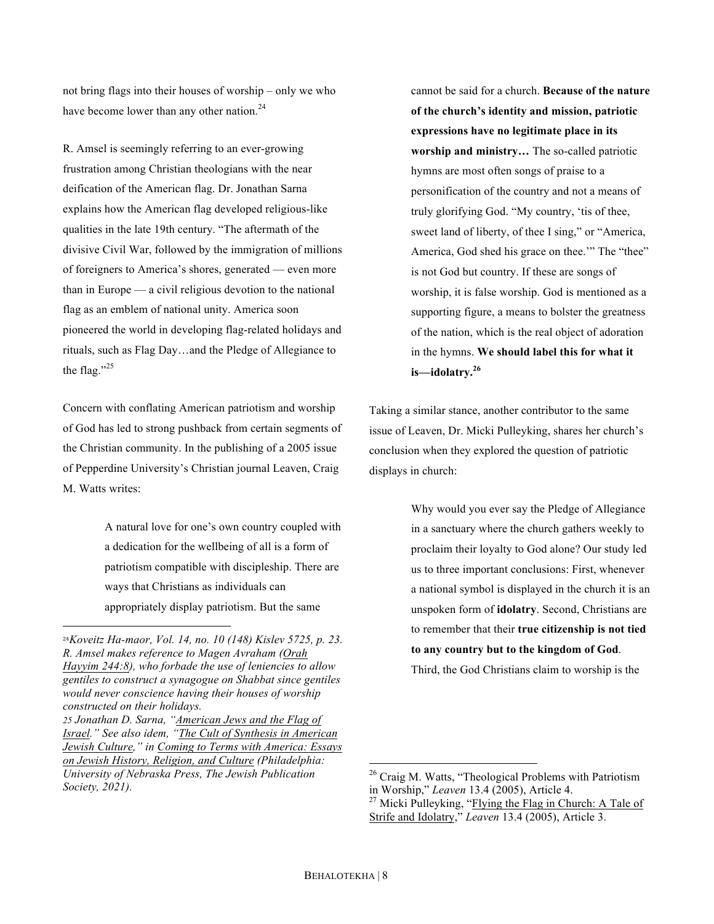not bring flags into their houses of worship – only we who have become lower than any other nation. $24$ 

R. Amsel is seemingly referring to an ever-growing frustration among Christian theologians with the near deification of the American flag. Dr. Jonathan Sarna explains how the American flag developed religious-like qualities in the late 19th century. "The aftermath of the divisive Civil War, followed by the immigration of millions of foreigners to America's shores, generated — even more than in Europe — a civil religious devotion to the national flag as an emblem of national unity. America soon pioneered the world in developing flag-related holidays and rituals, such as Flag Day…and the Pledge of Allegiance to the flag."<sup>25</sup>

Concern with conflating American patriotism and worship of God has led to strong pushback from certain segments of the Christian community. In the publishing of a 2005 issue of Pepperdine University's Christian journal Leaven, Craig M. Watts writes:

> A natural love for one's own country coupled with a dedication for the wellbeing of all is a form of patriotism compatible with discipleship. There are ways that Christians as individuals can appropriately display patriotism. But the same

 

cannot be said for a church. **Because of the nature of the church's identity and mission, patriotic expressions have no legitimate place in its worship and ministry…** The so-called patriotic hymns are most often songs of praise to a personification of the country and not a means of truly glorifying God. "My country, 'tis of thee, sweet land of liberty, of thee I sing," or "America, America, God shed his grace on thee.'" The "thee" is not God but country. If these are songs of worship, it is false worship. God is mentioned as a supporting figure, a means to bolster the greatness of the nation, which is the real object of adoration in the hymns. **We should label this for what it is—idolatry.<sup>26</sup>**

Taking a similar stance, another contributor to the same issue of Leaven, Dr. Micki Pulleyking, shares her church's conclusion when they explored the question of patriotic displays in church:

> Why would you ever say the Pledge of Allegiance in a sanctuary where the church gathers weekly to proclaim their loyalty to God alone? Our study led us to three important conclusions: First, whenever a national symbol is displayed in the church it is an unspoken form of **idolatry**. Second, Christians are to remember that their **true citizenship is not tied to any country but to the kingdom of God**.

Third, the God Christians claim to worship is the

<sup>24</sup>*Koveitz Ha-maor, Vol. 14, no. 10 (148) Kislev 5725, p. 23. R. Amsel makes reference to Magen Avraham (Orah Hayyim 244:8), who forbade the use of leniencies to allow gentiles to construct a synagogue on Shabbat since gentiles would never conscience having their houses of worship constructed on their holidays.*

*<sup>25</sup> Jonathan D. Sarna, "American Jews and the Flag of Israel." See also idem, "The Cult of Synthesis in American Jewish Culture," in Coming to Terms with America: Essays on Jewish History, Religion, and Culture (Philadelphia: University of Nebraska Press, The Jewish Publication Society, 2021).*

<sup>&</sup>lt;sup>26</sup> Craig M. Watts, "Theological Problems with Patriotism in Worship," Leaven 13.4 (2005), Article 4.

<sup>&</sup>lt;sup>27</sup> Micki Pulleyking, "Flying the Flag in Church: A Tale of Strife and Idolatry," *Leaven* 13.4 (2005), Article 3.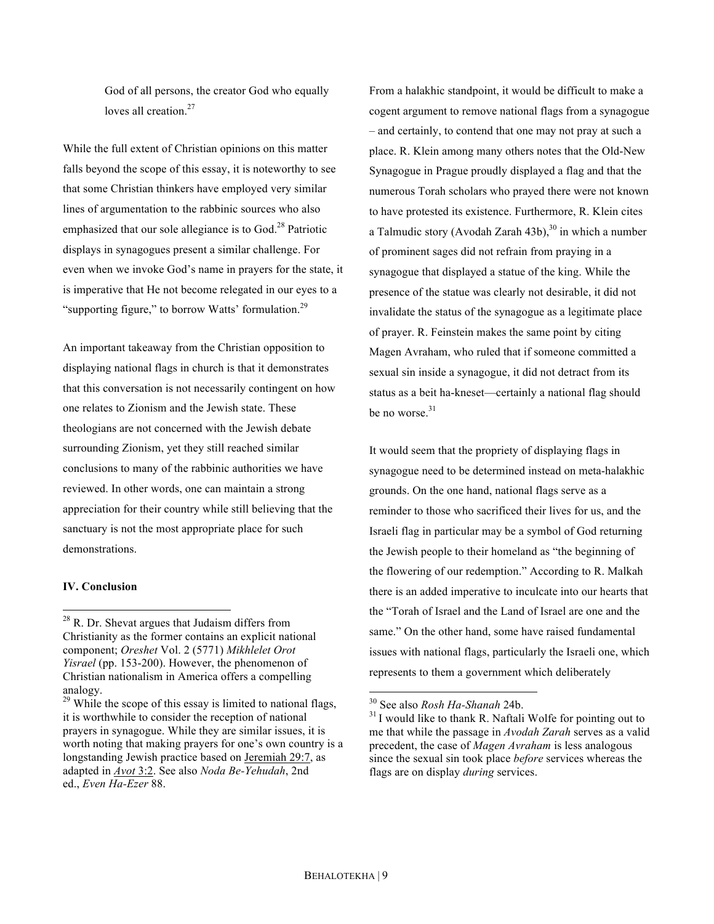God of all persons, the creator God who equally loves all creation.<sup>27</sup>

While the full extent of Christian opinions on this matter falls beyond the scope of this essay, it is noteworthy to see that some Christian thinkers have employed very similar lines of argumentation to the rabbinic sources who also emphasized that our sole allegiance is to  $God<sup>28</sup>$  Patriotic displays in synagogues present a similar challenge. For even when we invoke God's name in prayers for the state, it is imperative that He not become relegated in our eyes to a "supporting figure," to borrow Watts' formulation.<sup>29</sup>

An important takeaway from the Christian opposition to displaying national flags in church is that it demonstrates that this conversation is not necessarily contingent on how one relates to Zionism and the Jewish state. These theologians are not concerned with the Jewish debate surrounding Zionism, yet they still reached similar conclusions to many of the rabbinic authorities we have reviewed. In other words, one can maintain a strong appreciation for their country while still believing that the sanctuary is not the most appropriate place for such demonstrations.

#### **IV. Conclusion**

From a halakhic standpoint, it would be difficult to make a cogent argument to remove national flags from a synagogue – and certainly, to contend that one may not pray at such a place. R. Klein among many others notes that the Old-New Synagogue in Prague proudly displayed a flag and that the numerous Torah scholars who prayed there were not known to have protested its existence. Furthermore, R. Klein cites a Talmudic story (Avodah Zarah 43b), $30$  in which a number of prominent sages did not refrain from praying in a synagogue that displayed a statue of the king. While the presence of the statue was clearly not desirable, it did not invalidate the status of the synagogue as a legitimate place of prayer. R. Feinstein makes the same point by citing Magen Avraham, who ruled that if someone committed a sexual sin inside a synagogue, it did not detract from its status as a beit ha-kneset—certainly a national flag should be no worse. $31$ 

It would seem that the propriety of displaying flags in synagogue need to be determined instead on meta-halakhic grounds. On the one hand, national flags serve as a reminder to those who sacrificed their lives for us, and the Israeli flag in particular may be a symbol of God returning the Jewish people to their homeland as "the beginning of the flowering of our redemption." According to R. Malkah there is an added imperative to inculcate into our hearts that the "Torah of Israel and the Land of Israel are one and the same." On the other hand, some have raised fundamental issues with national flags, particularly the Israeli one, which represents to them a government which deliberately

<sup>&</sup>lt;sup>28</sup> R. Dr. Shevat argues that Judaism differs from Christianity as the former contains an explicit national component; *Oreshet* Vol. 2 (5771) *Mikhlelet Orot Yisrael* (pp. 153-200). However, the phenomenon of Christian nationalism in America offers a compelling analogy.

 $29$  While the scope of this essay is limited to national flags, it is worthwhile to consider the reception of national prayers in synagogue. While they are similar issues, it is worth noting that making prayers for one's own country is a longstanding Jewish practice based on Jeremiah 29:7, as adapted in *Avot* 3:2. See also *Noda Be-Yehudah*, 2nd ed., *Even Ha-Ezer* 88.

<sup>&</sup>lt;sup>30</sup> See also *Rosh Ha-Shanah* 24b.<br><sup>31</sup> I would like to thank R. Naftali Wolfe for pointing out to me that while the passage in *Avodah Zarah* serves as a valid precedent, the case of *Magen Avraham* is less analogous since the sexual sin took place *before* services whereas the flags are on display *during* services.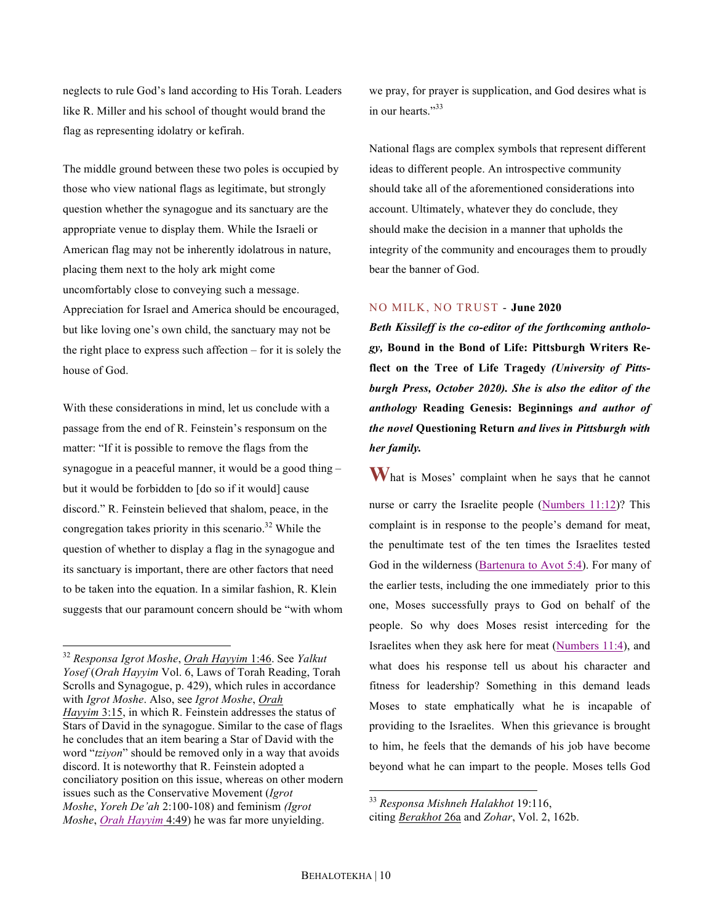neglects to rule God's land according to His Torah. Leaders like R. Miller and his school of thought would brand the flag as representing idolatry or kefirah.

The middle ground between these two poles is occupied by those who view national flags as legitimate, but strongly question whether the synagogue and its sanctuary are the appropriate venue to display them. While the Israeli or American flag may not be inherently idolatrous in nature, placing them next to the holy ark might come uncomfortably close to conveying such a message. Appreciation for Israel and America should be encouraged, but like loving one's own child, the sanctuary may not be the right place to express such affection – for it is solely the house of God.

With these considerations in mind, let us conclude with a passage from the end of R. Feinstein's responsum on the matter: "If it is possible to remove the flags from the synagogue in a peaceful manner, it would be a good thing – but it would be forbidden to [do so if it would] cause discord." R. Feinstein believed that shalom, peace, in the congregation takes priority in this scenario.<sup>32</sup> While the question of whether to display a flag in the synagogue and its sanctuary is important, there are other factors that need to be taken into the equation. In a similar fashion, R. Klein suggests that our paramount concern should be "with whom we pray, for prayer is supplication, and God desires what is in our hearts."33

National flags are complex symbols that represent different ideas to different people. An introspective community should take all of the aforementioned considerations into account. Ultimately, whatever they do conclude, they should make the decision in a manner that upholds the integrity of the community and encourages them to proudly bear the banner of God.

### NO MILK, NO TRUST - **June 2020**

*Beth Kissileff is the co-editor of the forthcoming anthology,* **Bound in the Bond of Life: Pittsburgh Writers Reflect on the Tree of Life Tragedy** *(University of Pittsburgh Press, October 2020). She is also the editor of the anthology* **Reading Genesis: Beginnings** *and author of the novel* **Questioning Return** *and lives in Pittsburgh with her family.*

**W** hat is Moses' complaint when he says that he cannot nurse or carry the Israelite people (Numbers 11:12)? This complaint is in response to the people's demand for meat, the penultimate test of the ten times the Israelites tested God in the wilderness (Bartenura to Avot 5:4). For many of the earlier tests, including the one immediately prior to this one, Moses successfully prays to God on behalf of the people. So why does Moses resist interceding for the Israelites when they ask here for meat (Numbers 11:4), and what does his response tell us about his character and fitness for leadership? Something in this demand leads Moses to state emphatically what he is incapable of providing to the Israelites. When this grievance is brought to him, he feels that the demands of his job have become beyond what he can impart to the people. Moses tells God

 <sup>32</sup> *Responsa Igrot Moshe*, *Orah Hayyim* 1:46. See *Yalkut Yosef* (*Orah Hayyim* Vol. 6, Laws of Torah Reading, Torah Scrolls and Synagogue, p. 429), which rules in accordance with *Igrot Moshe*. Also, see *Igrot Moshe*, *Orah Hayyim* 3:15, in which R. Feinstein addresses the status of Stars of David in the synagogue. Similar to the case of flags he concludes that an item bearing a Star of David with the word "*tziyon*" should be removed only in a way that avoids discord. It is noteworthy that R. Feinstein adopted a conciliatory position on this issue, whereas on other modern issues such as the Conservative Movement (*Igrot Moshe*, *Yoreh De'ah* 2:100-108) and feminism *(Igrot Moshe*, *Orah Hayyim* 4:49) he was far more unyielding.

 <sup>33</sup> *Responsa Mishneh Halakhot* 19:116,

citing *Berakhot* 26a and *Zohar*, Vol. 2, 162b.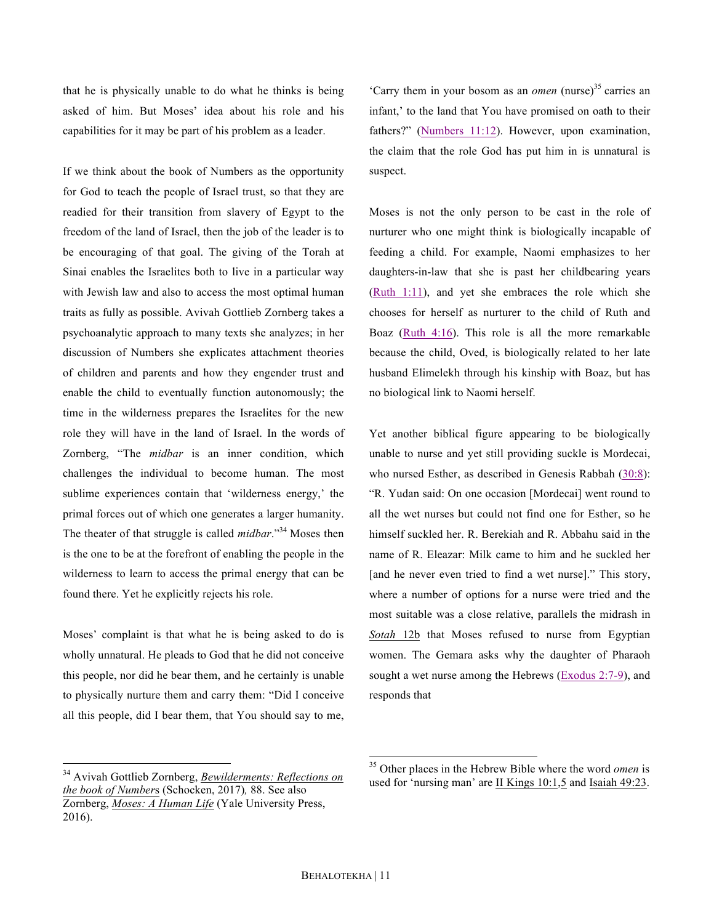that he is physically unable to do what he thinks is being asked of him. But Moses' idea about his role and his capabilities for it may be part of his problem as a leader.

If we think about the book of Numbers as the opportunity for God to teach the people of Israel trust, so that they are readied for their transition from slavery of Egypt to the freedom of the land of Israel, then the job of the leader is to be encouraging of that goal. The giving of the Torah at Sinai enables the Israelites both to live in a particular way with Jewish law and also to access the most optimal human traits as fully as possible. Avivah Gottlieb Zornberg takes a psychoanalytic approach to many texts she analyzes; in her discussion of Numbers she explicates attachment theories of children and parents and how they engender trust and enable the child to eventually function autonomously; the time in the wilderness prepares the Israelites for the new role they will have in the land of Israel. In the words of Zornberg, "The *midbar* is an inner condition, which challenges the individual to become human. The most sublime experiences contain that 'wilderness energy,' the primal forces out of which one generates a larger humanity. The theater of that struggle is called *midbar*."34 Moses then is the one to be at the forefront of enabling the people in the wilderness to learn to access the primal energy that can be found there. Yet he explicitly rejects his role.

Moses' complaint is that what he is being asked to do is wholly unnatural. He pleads to God that he did not conceive this people, nor did he bear them, and he certainly is unable to physically nurture them and carry them: "Did I conceive all this people, did I bear them, that You should say to me,

'Carry them in your bosom as an *omen* (nurse)<sup>35</sup> carries an infant,' to the land that You have promised on oath to their fathers?" (Numbers 11:12). However, upon examination, the claim that the role God has put him in is unnatural is suspect.

Moses is not the only person to be cast in the role of nurturer who one might think is biologically incapable of feeding a child. For example, Naomi emphasizes to her daughters-in-law that she is past her childbearing years (Ruth 1:11), and yet she embraces the role which she chooses for herself as nurturer to the child of Ruth and Boaz (Ruth 4:16). This role is all the more remarkable because the child, Oved, is biologically related to her late husband Elimelekh through his kinship with Boaz, but has no biological link to Naomi herself.

Yet another biblical figure appearing to be biologically unable to nurse and yet still providing suckle is Mordecai, who nursed Esther, as described in Genesis Rabbah  $(30.8)$ : "R. Yudan said: On one occasion [Mordecai] went round to all the wet nurses but could not find one for Esther, so he himself suckled her. R. Berekiah and R. Abbahu said in the name of R. Eleazar: Milk came to him and he suckled her [and he never even tried to find a wet nurse]." This story, where a number of options for a nurse were tried and the most suitable was a close relative, parallels the midrash in *Sotah* 12b that Moses refused to nurse from Egyptian women. The Gemara asks why the daughter of Pharaoh sought a wet nurse among the Hebrews (Exodus 2:7-9), and responds that

 <sup>34</sup> Avivah Gottlieb Zornberg, *Bewilderments: Reflections on the book of Number*s (Schocken, 2017)*,* 88. See also Zornberg, *Moses: A Human Life* (Yale University Press, 2016).

 <sup>35</sup> Other places in the Hebrew Bible where the word *omen* is used for 'nursing man' are II Kings 10:1,5 and Isaiah 49:23.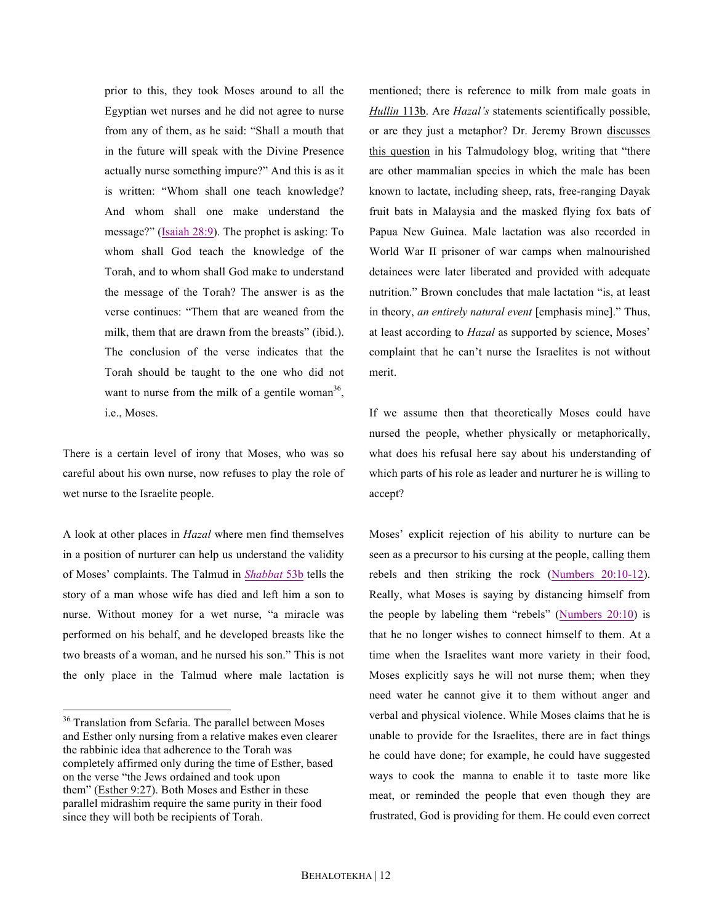prior to this, they took Moses around to all the Egyptian wet nurses and he did not agree to nurse from any of them, as he said: "Shall a mouth that in the future will speak with the Divine Presence actually nurse something impure?" And this is as it is written: "Whom shall one teach knowledge? And whom shall one make understand the message?" (Isaiah 28:9). The prophet is asking: To whom shall God teach the knowledge of the Torah, and to whom shall God make to understand the message of the Torah? The answer is as the verse continues: "Them that are weaned from the milk, them that are drawn from the breasts" (ibid.). The conclusion of the verse indicates that the Torah should be taught to the one who did not want to nurse from the milk of a gentile woman<sup>36</sup>, i.e., Moses.

There is a certain level of irony that Moses, who was so careful about his own nurse, now refuses to play the role of wet nurse to the Israelite people.

A look at other places in *Hazal* where men find themselves in a position of nurturer can help us understand the validity of Moses' complaints. The Talmud in *Shabbat* 53b tells the story of a man whose wife has died and left him a son to nurse. Without money for a wet nurse, "a miracle was performed on his behalf, and he developed breasts like the two breasts of a woman, and he nursed his son." This is not the only place in the Talmud where male lactation is

mentioned; there is reference to milk from male goats in *Hullin* 113b. Are *Hazal's* statements scientifically possible, or are they just a metaphor? Dr. Jeremy Brown discusses this question in his Talmudology blog, writing that "there are other mammalian species in which the male has been known to lactate, including sheep, rats, free-ranging Dayak fruit bats in Malaysia and the masked flying fox bats of Papua New Guinea. Male lactation was also recorded in World War II prisoner of war camps when malnourished detainees were later liberated and provided with adequate nutrition." Brown concludes that male lactation "is, at least in theory, *an entirely natural event* [emphasis mine]." Thus, at least according to *Hazal* as supported by science, Moses' complaint that he can't nurse the Israelites is not without merit.

If we assume then that theoretically Moses could have nursed the people, whether physically or metaphorically, what does his refusal here say about his understanding of which parts of his role as leader and nurturer he is willing to accept?

Moses' explicit rejection of his ability to nurture can be seen as a precursor to his cursing at the people, calling them rebels and then striking the rock (Numbers 20:10-12). Really, what Moses is saying by distancing himself from the people by labeling them "rebels" (Numbers 20:10) is that he no longer wishes to connect himself to them. At a time when the Israelites want more variety in their food, Moses explicitly says he will not nurse them; when they need water he cannot give it to them without anger and verbal and physical violence. While Moses claims that he is unable to provide for the Israelites, there are in fact things he could have done; for example, he could have suggested ways to cook the manna to enable it to taste more like meat, or reminded the people that even though they are frustrated, God is providing for them. He could even correct

<sup>&</sup>lt;sup>36</sup> Translation from Sefaria. The parallel between Moses and Esther only nursing from a relative makes even clearer the rabbinic idea that adherence to the Torah was completely affirmed only during the time of Esther, based on the verse "the Jews ordained and took upon them" (Esther 9:27). Both Moses and Esther in these parallel midrashim require the same purity in their food since they will both be recipients of Torah.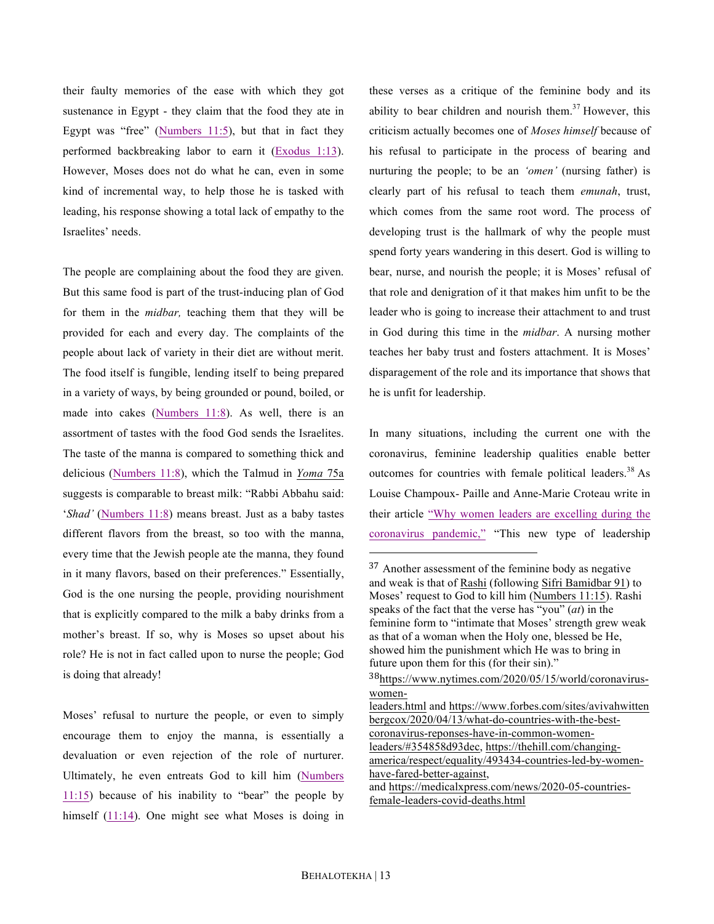their faulty memories of the ease with which they got sustenance in Egypt - they claim that the food they ate in Egypt was "free" (Numbers 11:5), but that in fact they performed backbreaking labor to earn it (Exodus 1:13). However, Moses does not do what he can, even in some kind of incremental way, to help those he is tasked with leading, his response showing a total lack of empathy to the Israelites' needs.

The people are complaining about the food they are given. But this same food is part of the trust-inducing plan of God for them in the *midbar,* teaching them that they will be provided for each and every day. The complaints of the people about lack of variety in their diet are without merit. The food itself is fungible, lending itself to being prepared in a variety of ways, by being grounded or pound, boiled, or made into cakes (Numbers 11:8). As well, there is an assortment of tastes with the food God sends the Israelites. The taste of the manna is compared to something thick and delicious (Numbers 11:8), which the Talmud in *Yoma* 75a suggests is comparable to breast milk: "Rabbi Abbahu said: '*Shad'* (Numbers 11:8) means breast. Just as a baby tastes different flavors from the breast, so too with the manna, every time that the Jewish people ate the manna, they found in it many flavors, based on their preferences." Essentially, God is the one nursing the people, providing nourishment that is explicitly compared to the milk a baby drinks from a mother's breast. If so, why is Moses so upset about his role? He is not in fact called upon to nurse the people; God is doing that already!

Moses' refusal to nurture the people, or even to simply encourage them to enjoy the manna, is essentially a devaluation or even rejection of the role of nurturer. Ultimately, he even entreats God to kill him (Numbers  $11:15$ ) because of his inability to "bear" the people by himself (11:14). One might see what Moses is doing in these verses as a critique of the feminine body and its ability to bear children and nourish them.<sup>37</sup> However, this criticism actually becomes one of *Moses himself* because of his refusal to participate in the process of bearing and nurturing the people; to be an *'omen'* (nursing father) is clearly part of his refusal to teach them *emunah*, trust, which comes from the same root word. The process of developing trust is the hallmark of why the people must spend forty years wandering in this desert. God is willing to bear, nurse, and nourish the people; it is Moses' refusal of that role and denigration of it that makes him unfit to be the leader who is going to increase their attachment to and trust in God during this time in the *midbar*. A nursing mother teaches her baby trust and fosters attachment. It is Moses' disparagement of the role and its importance that shows that he is unfit for leadership.

In many situations, including the current one with the coronavirus, feminine leadership qualities enable better outcomes for countries with female political leaders.<sup>38</sup> As Louise Champoux- Paille and Anne-Marie Croteau write in their article "Why women leaders are excelling during the coronavirus pandemic," "This new type of leadership

female-leaders-covid-deaths.html

 

<sup>37</sup> Another assessment of the feminine body as negative and weak is that of Rashi (following Sifri Bamidbar 91) to Moses' request to God to kill him (Numbers 11:15). Rashi speaks of the fact that the verse has "you" (*at*) in the feminine form to "intimate that Moses' strength grew weak as that of a woman when the Holy one, blessed be He, showed him the punishment which He was to bring in future upon them for this (for their sin)."

<sup>38</sup>https://www.nytimes.com/2020/05/15/world/coronaviruswomen-

leaders.html and https://www.forbes.com/sites/avivahwitten bergcox/2020/04/13/what-do-countries-with-the-bestcoronavirus-reponses-have-in-common-womenleaders/#354858d93dec, https://thehill.com/changingamerica/respect/equality/493434-countries-led-by-womenhave-fared-better-against, and https://medicalxpress.com/news/2020-05-countries-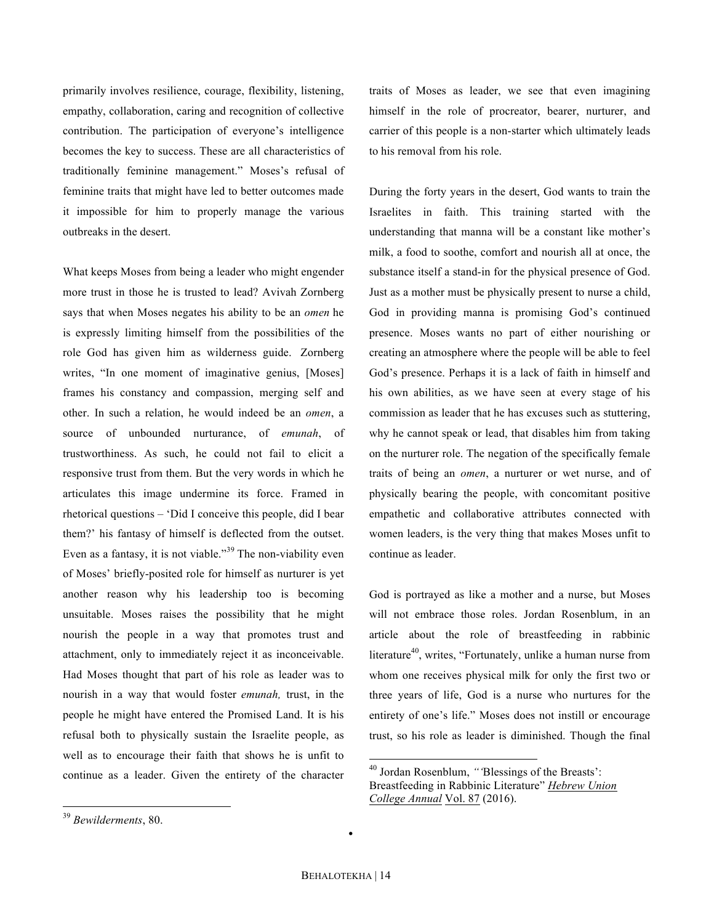primarily involves resilience, courage, flexibility, listening, empathy, collaboration, caring and recognition of collective contribution. The participation of everyone's intelligence becomes the key to success. These are all characteristics of traditionally feminine management." Moses's refusal of feminine traits that might have led to better outcomes made it impossible for him to properly manage the various outbreaks in the desert.

What keeps Moses from being a leader who might engender more trust in those he is trusted to lead? Avivah Zornberg says that when Moses negates his ability to be an *omen* he is expressly limiting himself from the possibilities of the role God has given him as wilderness guide. Zornberg writes, "In one moment of imaginative genius, [Moses] frames his constancy and compassion, merging self and other. In such a relation, he would indeed be an *omen*, a source of unbounded nurturance, of *emunah*, of trustworthiness. As such, he could not fail to elicit a responsive trust from them. But the very words in which he articulates this image undermine its force. Framed in rhetorical questions – 'Did I conceive this people, did I bear them?' his fantasy of himself is deflected from the outset. Even as a fantasy, it is not viable."<sup>39</sup> The non-viability even of Moses' briefly-posited role for himself as nurturer is yet another reason why his leadership too is becoming unsuitable. Moses raises the possibility that he might nourish the people in a way that promotes trust and attachment, only to immediately reject it as inconceivable. Had Moses thought that part of his role as leader was to nourish in a way that would foster *emunah,* trust, in the people he might have entered the Promised Land. It is his refusal both to physically sustain the Israelite people, as well as to encourage their faith that shows he is unfit to continue as a leader. Given the entirety of the character

During the forty years in the desert, God wants to train the Israelites in faith. This training started with the understanding that manna will be a constant like mother's milk, a food to soothe, comfort and nourish all at once, the substance itself a stand-in for the physical presence of God. Just as a mother must be physically present to nurse a child, God in providing manna is promising God's continued presence. Moses wants no part of either nourishing or creating an atmosphere where the people will be able to feel God's presence. Perhaps it is a lack of faith in himself and his own abilities, as we have seen at every stage of his commission as leader that he has excuses such as stuttering, why he cannot speak or lead, that disables him from taking on the nurturer role. The negation of the specifically female traits of being an *omen*, a nurturer or wet nurse, and of physically bearing the people, with concomitant positive empathetic and collaborative attributes connected with women leaders, is the very thing that makes Moses unfit to continue as leader.

God is portrayed as like a mother and a nurse, but Moses will not embrace those roles. Jordan Rosenblum, in an article about the role of breastfeeding in rabbinic literature<sup>40</sup>, writes, "Fortunately, unlike a human nurse from whom one receives physical milk for only the first two or three years of life, God is a nurse who nurtures for the entirety of one's life." Moses does not instill or encourage trust, so his role as leader is diminished. Though the final

•

traits of Moses as leader, we see that even imagining himself in the role of procreator, bearer, nurturer, and carrier of this people is a non-starter which ultimately leads to his removal from his role.

 <sup>40</sup> Jordan Rosenblum, *"'*Blessings of the Breasts': Breastfeeding in Rabbinic Literature" *Hebrew Union College Annual* Vol. 87 (2016).

 <sup>39</sup> *Bewilderments*, 80.